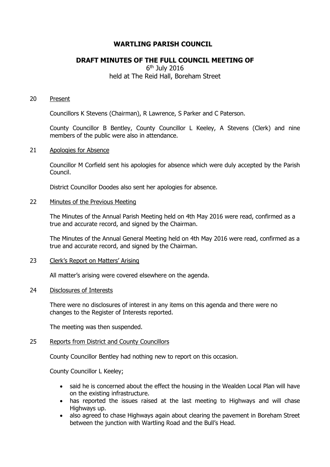# **WARTLING PARISH COUNCIL**

# **DRAFT MINUTES OF THE FULL COUNCIL MEETING OF**

# 6 th July 2016 held at The Reid Hall, Boreham Street

#### 20 Present

Councillors K Stevens (Chairman), R Lawrence, S Parker and C Paterson.

County Councillor B Bentley, County Councillor L Keeley, A Stevens (Clerk) and nine members of the public were also in attendance.

#### 21 Apologies for Absence

Councillor M Corfield sent his apologies for absence which were duly accepted by the Parish Council.

District Councillor Doodes also sent her apologies for absence.

# 22 Minutes of the Previous Meeting

The Minutes of the Annual Parish Meeting held on 4th May 2016 were read, confirmed as a true and accurate record, and signed by the Chairman.

The Minutes of the Annual General Meeting held on 4th May 2016 were read, confirmed as a true and accurate record, and signed by the Chairman.

### 23 Clerk's Report on Matters' Arising

All matter's arising were covered elsewhere on the agenda.

## 24 Disclosures of Interests

There were no disclosures of interest in any items on this agenda and there were no changes to the Register of Interests reported.

The meeting was then suspended.

#### 25 Reports from District and County Councillors

County Councillor Bentley had nothing new to report on this occasion.

County Councillor L Keeley;

- said he is concerned about the effect the housing in the Wealden Local Plan will have on the existing infrastructure.
- has reported the issues raised at the last meeting to Highways and will chase Highways up.
- also agreed to chase Highways again about clearing the pavement in Boreham Street between the junction with Wartling Road and the Bull's Head.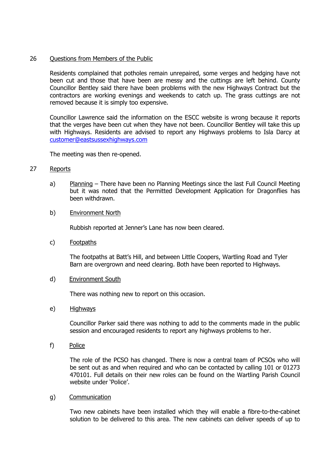# 26 Ouestions from Members of the Public

Residents complained that potholes remain unrepaired, some verges and hedging have not been cut and those that have been are messy and the cuttings are left behind. County Councillor Bentley said there have been problems with the new Highways Contract but the contractors are working evenings and weekends to catch up. The grass cuttings are not removed because it is simply too expensive.

Councillor Lawrence said the information on the ESCC website is wrong because it reports that the verges have been cut when they have not been. Councillor Bentley will take this up with Highways. Residents are advised to report any Highways problems to Isla Darcy at [customer@eastsussexhighways.com](mailto:customer@eastsussexhighways.com)

The meeting was then re-opened.

# 27 Reports

a) Planning – There have been no Planning Meetings since the last Full Council Meeting but it was noted that the Permitted Development Application for Dragonflies has been withdrawn.

### b) Environment North

Rubbish reported at Jenner's Lane has now been cleared.

c) Footpaths

The footpaths at Batt's Hill, and between Little Coopers, Wartling Road and Tyler Barn are overgrown and need clearing. Both have been reported to Highways.

#### d) Environment South

There was nothing new to report on this occasion.

#### e) Highways

Councillor Parker said there was nothing to add to the comments made in the public session and encouraged residents to report any highways problems to her.

f) Police

The role of the PCSO has changed. There is now a central team of PCSOs who will be sent out as and when required and who can be contacted by calling 101 or 01273 470101. Full details on their new roles can be found on the Wartling Parish Council website under 'Police'.

#### g) Communication

Two new cabinets have been installed which they will enable a fibre-to-the-cabinet solution to be delivered to this area. The new cabinets can deliver speeds of up to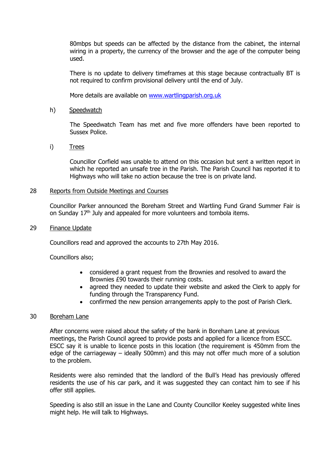80mbps but speeds can be affected by the distance from the cabinet, the internal wiring in a property, the currency of the browser and the age of the computer being used.

There is no update to delivery timeframes at this stage because contractually BT is not required to confirm provisional delivery until the end of July.

More details are available on [www.wartlingparish.org.uk](http://www.wartlingparish.org.uk/)

## h) Speedwatch

The Speedwatch Team has met and five more offenders have been reported to Sussex Police.

# i) Trees

Councillor Corfield was unable to attend on this occasion but sent a written report in which he reported an unsafe tree in the Parish. The Parish Council has reported it to Highways who will take no action because the tree is on private land.

## 28 Reports from Outside Meetings and Courses

Councillor Parker announced the Boreham Street and Wartling Fund Grand Summer Fair is on Sunday 17<sup>th</sup> July and appealed for more volunteers and tombola items.

## 29 Finance Update

Councillors read and approved the accounts to 27th May 2016.

Councillors also;

- considered a grant request from the Brownies and resolved to award the Brownies £90 towards their running costs.
- agreed they needed to update their website and asked the Clerk to apply for funding through the Transparency Fund.
- confirmed the new pension arrangements apply to the post of Parish Clerk.

#### 30 Boreham Lane

After concerns were raised about the safety of the bank in Boreham Lane at previous meetings, the Parish Council agreed to provide posts and applied for a licence from ESCC. ESCC say it is unable to licence posts in this location (the requirement is 450mm from the edge of the carriageway – ideally 500mm) and this may not offer much more of a solution to the problem.

Residents were also reminded that the landlord of the Bull's Head has previously offered residents the use of his car park, and it was suggested they can contact him to see if his offer still applies.

Speeding is also still an issue in the Lane and County Councillor Keeley suggested white lines might help. He will talk to Highways.